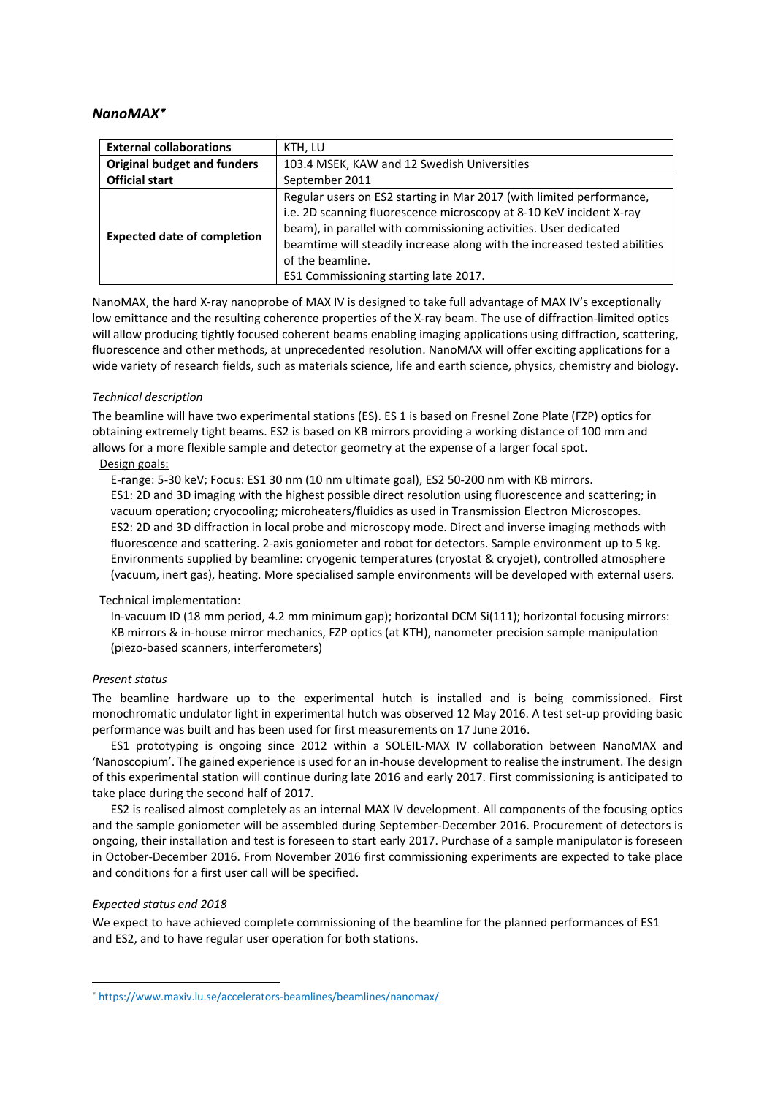# *NanoMAX*[∗](#page-0-0)

| <b>External collaborations</b>     | KTH, LU                                                                                                                                                                                                                                                                                                                                                   |
|------------------------------------|-----------------------------------------------------------------------------------------------------------------------------------------------------------------------------------------------------------------------------------------------------------------------------------------------------------------------------------------------------------|
| <b>Original budget and funders</b> | 103.4 MSEK, KAW and 12 Swedish Universities                                                                                                                                                                                                                                                                                                               |
| <b>Official start</b>              | September 2011                                                                                                                                                                                                                                                                                                                                            |
| <b>Expected date of completion</b> | Regular users on ES2 starting in Mar 2017 (with limited performance,<br>i.e. 2D scanning fluorescence microscopy at 8-10 KeV incident X-ray<br>beam), in parallel with commissioning activities. User dedicated<br>beamtime will steadily increase along with the increased tested abilities<br>of the beamline.<br>ES1 Commissioning starting late 2017. |

NanoMAX, the hard X-ray nanoprobe of MAX IV is designed to take full advantage of MAX IV's exceptionally low emittance and the resulting coherence properties of the X-ray beam. The use of diffraction-limited optics will allow producing tightly focused coherent beams enabling imaging applications using diffraction, scattering, fluorescence and other methods, at unprecedented resolution. NanoMAX will offer exciting applications for a wide variety of research fields, such as materials science, life and earth science, physics, chemistry and biology.

#### *Technical description*

The beamline will have two experimental stations (ES). ES 1 is based on Fresnel Zone Plate (FZP) optics for obtaining extremely tight beams. ES2 is based on KB mirrors providing a working distance of 100 mm and allows for a more flexible sample and detector geometry at the expense of a larger focal spot.

# Design goals:

E-range: 5-30 keV; Focus: ES1 30 nm (10 nm ultimate goal), ES2 50-200 nm with KB mirrors. ES1: 2D and 3D imaging with the highest possible direct resolution using fluorescence and scattering; in vacuum operation; cryocooling; microheaters/fluidics as used in Transmission Electron Microscopes. ES2: 2D and 3D diffraction in local probe and microscopy mode. Direct and inverse imaging methods with fluorescence and scattering. 2-axis goniometer and robot for detectors. Sample environment up to 5 kg. Environments supplied by beamline: cryogenic temperatures (cryostat & cryojet), controlled atmosphere (vacuum, inert gas), heating. More specialised sample environments will be developed with external users.

### Technical implementation:

In-vacuum ID (18 mm period, 4.2 mm minimum gap); horizontal DCM Si(111); horizontal focusing mirrors: KB mirrors & in-house mirror mechanics, FZP optics (at KTH), nanometer precision sample manipulation (piezo-based scanners, interferometers)

#### *Present status*

The beamline hardware up to the experimental hutch is installed and is being commissioned. First monochromatic undulator light in experimental hutch was observed 12 May 2016. A test set-up providing basic performance was built and has been used for first measurements on 17 June 2016.

ES1 prototyping is ongoing since 2012 within a SOLEIL-MAX IV collaboration between NanoMAX and 'Nanoscopium'. The gained experience is used for an in-house development to realise the instrument. The design of this experimental station will continue during late 2016 and early 2017. First commissioning is anticipated to take place during the second half of 2017.

ES2 is realised almost completely as an internal MAX IV development. All components of the focusing optics and the sample goniometer will be assembled during September-December 2016. Procurement of detectors is ongoing, their installation and test is foreseen to start early 2017. Purchase of a sample manipulator is foreseen in October-December 2016. From November 2016 first commissioning experiments are expected to take place and conditions for a first user call will be specified.

### *Expected status end 2018*

**.** 

We expect to have achieved complete commissioning of the beamline for the planned performances of ES1 and ES2, and to have regular user operation for both stations.

<span id="page-0-0"></span><sup>∗</sup> <https://www.maxiv.lu.se/accelerators-beamlines/beamlines/nanomax/>